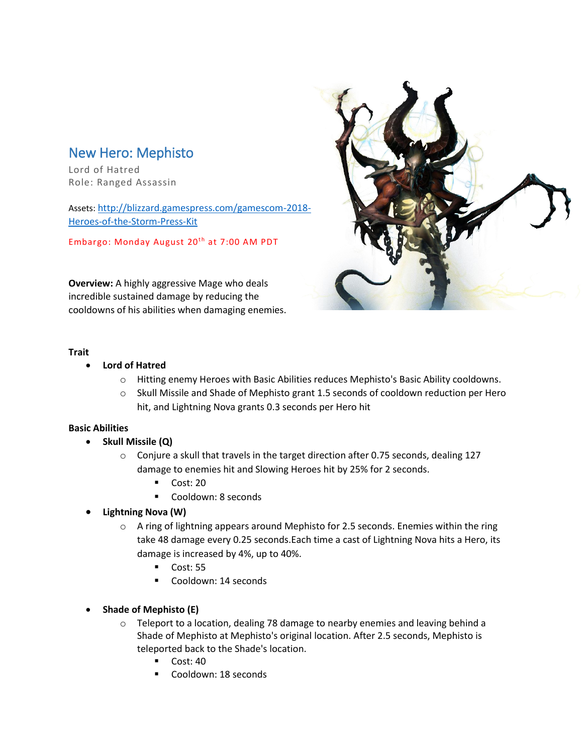# New Hero: Mephisto

Lord of Hatred Role: Ranged Assassin

Assets: [http://blizzard.gamespress.com/gamescom-2018-](http://blizzard.gamespress.com/gamescom-2018-Heroes-of-the-Storm-Press-Kit) [Heroes-of-the-Storm-Press-Kit](http://blizzard.gamespress.com/gamescom-2018-Heroes-of-the-Storm-Press-Kit)

Embargo: Monday August 20<sup>th</sup> at 7:00 AM PDT

**Overview:** A highly aggressive Mage who deals incredible sustained damage by reducing the cooldowns of his abilities when damaging enemies.



## **Trait**

- **Lord of Hatred**
	- o Hitting enemy Heroes with Basic Abilities reduces Mephisto's Basic Ability cooldowns.
	- $\circ$  Skull Missile and Shade of Mephisto grant 1.5 seconds of cooldown reduction per Hero hit, and Lightning Nova grants 0.3 seconds per Hero hit

# **Basic Abilities**

- **Skull Missile (Q)**
	- $\circ$  Conjure a skull that travels in the target direction after 0.75 seconds, dealing 127 damage to enemies hit and Slowing Heroes hit by 25% for 2 seconds.
		- Cost: 20
		- Cooldown: 8 seconds

# • **Lightning Nova (W)**

- $\circ$  A ring of lightning appears around Mephisto for 2.5 seconds. Enemies within the ring take 48 damage every 0.25 seconds.Each time a cast of Lightning Nova hits a Hero, its damage is increased by 4%, up to 40%.
	- Cost: 55
	- Cooldown: 14 seconds
- **Shade of Mephisto (E)**
	- $\circ$  Teleport to a location, dealing 78 damage to nearby enemies and leaving behind a Shade of Mephisto at Mephisto's original location. After 2.5 seconds, Mephisto is teleported back to the Shade's location.
		- $\blacksquare$  Cost: 40
		- Cooldown: 18 seconds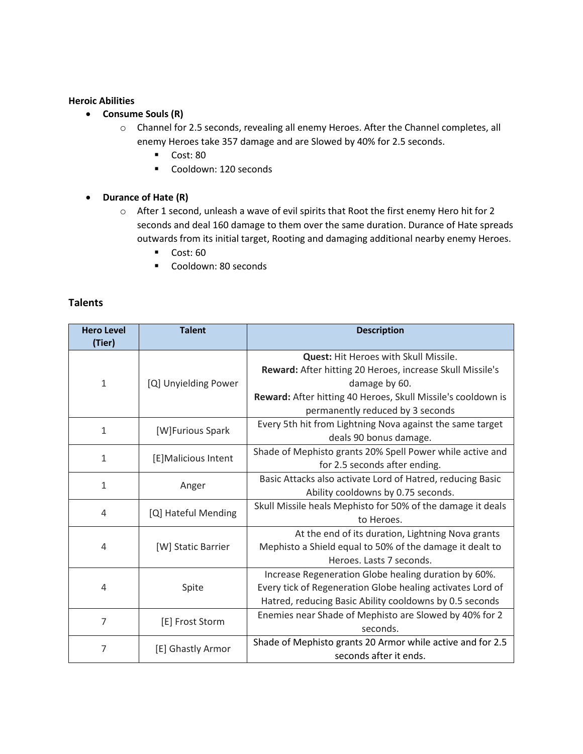## **Heroic Abilities**

- **Consume Souls (R)**
	- o Channel for 2.5 seconds, revealing all enemy Heroes. After the Channel completes, all enemy Heroes take 357 damage and are Slowed by 40% for 2.5 seconds.
		- Cost: 80
		- Cooldown: 120 seconds
- **Durance of Hate (R)**
	- o After 1 second, unleash a wave of evil spirits that Root the first enemy Hero hit for 2 seconds and deal 160 damage to them over the same duration. Durance of Hate spreads outwards from its initial target, Rooting and damaging additional nearby enemy Heroes.
		- Cost: 60
		- Cooldown: 80 seconds

## **Talents**

| <b>Hero Level</b><br>(Tier) | <b>Talent</b>        | <b>Description</b>                                           |
|-----------------------------|----------------------|--------------------------------------------------------------|
| $\mathbf{1}$                | [Q] Unyielding Power | Quest: Hit Heroes with Skull Missile.                        |
|                             |                      | Reward: After hitting 20 Heroes, increase Skull Missile's    |
|                             |                      | damage by 60.                                                |
|                             |                      | Reward: After hitting 40 Heroes, Skull Missile's cooldown is |
|                             |                      | permanently reduced by 3 seconds                             |
| $\mathbf{1}$                | [W]Furious Spark     | Every 5th hit from Lightning Nova against the same target    |
|                             |                      | deals 90 bonus damage.                                       |
| $\mathbf{1}$                | [E]Malicious Intent  | Shade of Mephisto grants 20% Spell Power while active and    |
|                             |                      | for 2.5 seconds after ending.                                |
| $\mathbf{1}$                | Anger                | Basic Attacks also activate Lord of Hatred, reducing Basic   |
|                             |                      | Ability cooldowns by 0.75 seconds.                           |
| 4                           | [Q] Hateful Mending  | Skull Missile heals Mephisto for 50% of the damage it deals  |
|                             |                      | to Heroes.                                                   |
| 4                           | [W] Static Barrier   | At the end of its duration, Lightning Nova grants            |
|                             |                      | Mephisto a Shield equal to 50% of the damage it dealt to     |
|                             |                      | Heroes. Lasts 7 seconds.                                     |
| 4                           | Spite                | Increase Regeneration Globe healing duration by 60%.         |
|                             |                      | Every tick of Regeneration Globe healing activates Lord of   |
|                             |                      | Hatred, reducing Basic Ability cooldowns by 0.5 seconds      |
| $\overline{7}$              | [E] Frost Storm      | Enemies near Shade of Mephisto are Slowed by 40% for 2       |
|                             |                      | seconds.                                                     |
| 7                           | [E] Ghastly Armor    | Shade of Mephisto grants 20 Armor while active and for 2.5   |
|                             |                      | seconds after it ends.                                       |